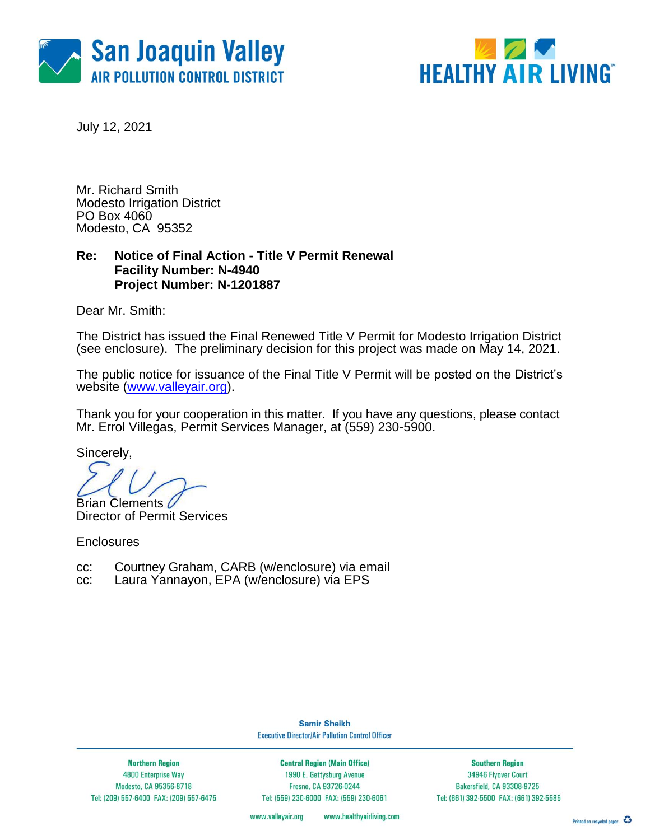



July 12, 2021

Mr. Richard Smith Modesto Irrigation District PO Box 4060 Modesto, CA 95352

## **Re: Notice of Final Action - Title V Permit Renewal Facility Number: N-4940 Project Number: N-1201887**

Dear Mr. Smith:

The District has issued the Final Renewed Title V Permit for Modesto Irrigation District (see enclosure). The preliminary decision for this project was made on May 14, 2021.

The public notice for issuance of the Final Title V Permit will be posted on the District's website [\(www.valleyair.org\)](http://www.valleyair.org/).

Thank you for your cooperation in this matter. If you have any questions, please contact Mr. Errol Villegas, Permit Services Manager, at (559) 230-5900.

Sincerely,

**Brian Clements 6** 

Director of Permit Services

**Enclosures** 

- cc: Courtney Graham, CARB (w/enclosure) via email
- cc: Laura Yannayon, EPA (w/enclosure) via EPS

**Samir Sheikh Executive Director/Air Pollution Control Officer** 

**Northern Region** 4800 Enterprise Way Modesto, CA 95356-8718 Tel: (209) 557-6400 FAX: (209) 557-6475

**Central Region (Main Office)** 1990 E. Gettysburg Avenue Fresno, CA 93726-0244 Tel: (559) 230-6000 FAX: (559) 230-6061

**Southern Region** 34946 Flyover Court Bakersfield, CA 93308-9725 Tel: (661) 392-5500 FAX: (661) 392-5585

www.valleyair.org www.healthyairliving.com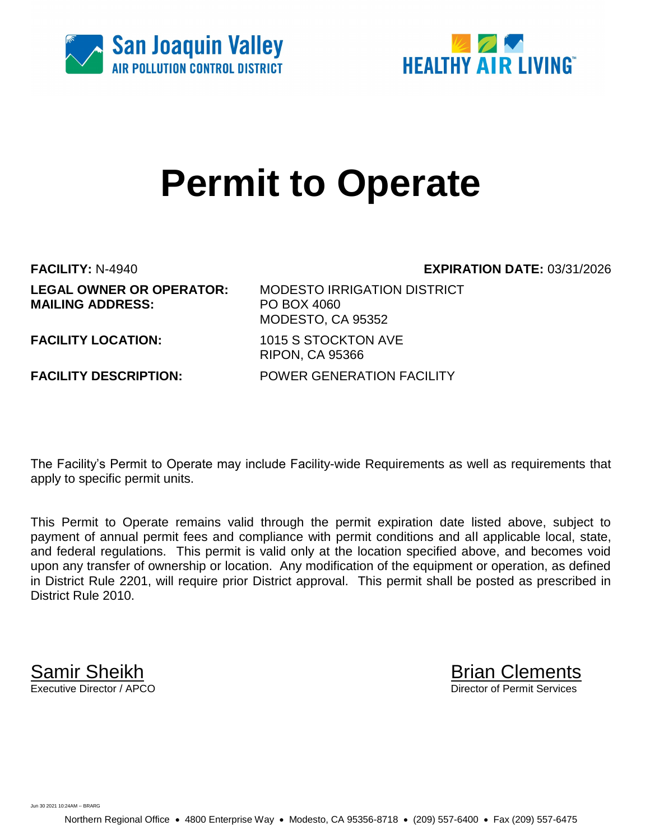



# **Permit to Operate**

**LEGAL OWNER OR OPERATOR:** MODESTO IRRIGATION DISTRICT **MAILING ADDRESS:** PO BOX 4060

**FACILITY:** N-4940 **EXPIRATION DATE:** 03/31/2026

MODESTO, CA 95352 **FACILITY LOCATION:** 1015 S STOCKTON AVE RIPON, CA 95366 **FACILITY DESCRIPTION:** POWER GENERATION FACILITY

The Facility's Permit to Operate may include Facility-wide Requirements as well as requirements that apply to specific permit units.

This Permit to Operate remains valid through the permit expiration date listed above, subject to payment of annual permit fees and compliance with permit conditions and all applicable local, state, and federal regulations. This permit is valid only at the location specified above, and becomes void upon any transfer of ownership or location. Any modification of the equipment or operation, as defined in District Rule 2201, will require prior District approval. This permit shall be posted as prescribed in District Rule 2010.

**Samir Sheikh**<br>Executive Director / APCO

Director of Permit Services

Jun 30 2021 10:24AM -- BRARG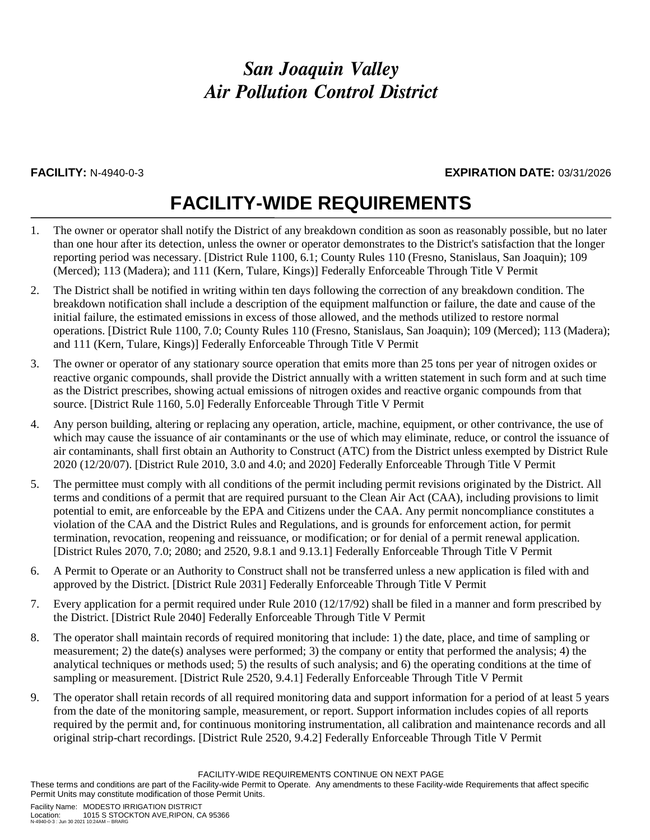### **FACILITY:** N-4940-0-3 **EXPIRATION DATE:** 03/31/2026

## **FACILITY-WIDE REQUIREMENTS**

- 1. The owner or operator shall notify the District of any breakdown condition as soon as reasonably possible, but no later than one hour after its detection, unless the owner or operator demonstrates to the District's satisfaction that the longer reporting period was necessary. [District Rule 1100, 6.1; County Rules 110 (Fresno, Stanislaus, San Joaquin); 109 (Merced); 113 (Madera); and 111 (Kern, Tulare, Kings)] Federally Enforceable Through Title V Permit
- 2. The District shall be notified in writing within ten days following the correction of any breakdown condition. The breakdown notification shall include a description of the equipment malfunction or failure, the date and cause of the initial failure, the estimated emissions in excess of those allowed, and the methods utilized to restore normal operations. [District Rule 1100, 7.0; County Rules 110 (Fresno, Stanislaus, San Joaquin); 109 (Merced); 113 (Madera); and 111 (Kern, Tulare, Kings)] Federally Enforceable Through Title V Permit
- 3. The owner or operator of any stationary source operation that emits more than 25 tons per year of nitrogen oxides or reactive organic compounds, shall provide the District annually with a written statement in such form and at such time as the District prescribes, showing actual emissions of nitrogen oxides and reactive organic compounds from that source. [District Rule 1160, 5.0] Federally Enforceable Through Title V Permit
- 4. Any person building, altering or replacing any operation, article, machine, equipment, or other contrivance, the use of which may cause the issuance of air contaminants or the use of which may eliminate, reduce, or control the issuance of air contaminants, shall first obtain an Authority to Construct (ATC) from the District unless exempted by District Rule 2020 (12/20/07). [District Rule 2010, 3.0 and 4.0; and 2020] Federally Enforceable Through Title V Permit
- 5. The permittee must comply with all conditions of the permit including permit revisions originated by the District. All terms and conditions of a permit that are required pursuant to the Clean Air Act (CAA), including provisions to limit potential to emit, are enforceable by the EPA and Citizens under the CAA. Any permit noncompliance constitutes a violation of the CAA and the District Rules and Regulations, and is grounds for enforcement action, for permit termination, revocation, reopening and reissuance, or modification; or for denial of a permit renewal application. [District Rules 2070, 7.0; 2080; and 2520, 9.8.1 and 9.13.1] Federally Enforceable Through Title V Permit
- 6. A Permit to Operate or an Authority to Construct shall not be transferred unless a new application is filed with and approved by the District. [District Rule 2031] Federally Enforceable Through Title V Permit
- 7. Every application for a permit required under Rule 2010 (12/17/92) shall be filed in a manner and form prescribed by the District. [District Rule 2040] Federally Enforceable Through Title V Permit
- 8. The operator shall maintain records of required monitoring that include: 1) the date, place, and time of sampling or measurement; 2) the date(s) analyses were performed; 3) the company or entity that performed the analysis; 4) the analytical techniques or methods used; 5) the results of such analysis; and 6) the operating conditions at the time of sampling or measurement. [District Rule 2520, 9.4.1] Federally Enforceable Through Title V Permit
- 9. The operator shall retain records of all required monitoring data and support information for a period of at least 5 years from the date of the monitoring sample, measurement, or report. Support information includes copies of all reports required by the permit and, for continuous monitoring instrumentation, all calibration and maintenance records and all original strip-chart recordings. [District Rule 2520, 9.4.2] Federally Enforceable Through Title V Permit

FACILITY-WIDE REQUIREMENTS CONTINUE ON NEXT PAGE

These terms and conditions are part of the Facility-wide Permit to Operate. Any amendments to these Facility-wide Requirements that affect specific Permit Units may constitute modification of those Permit Units.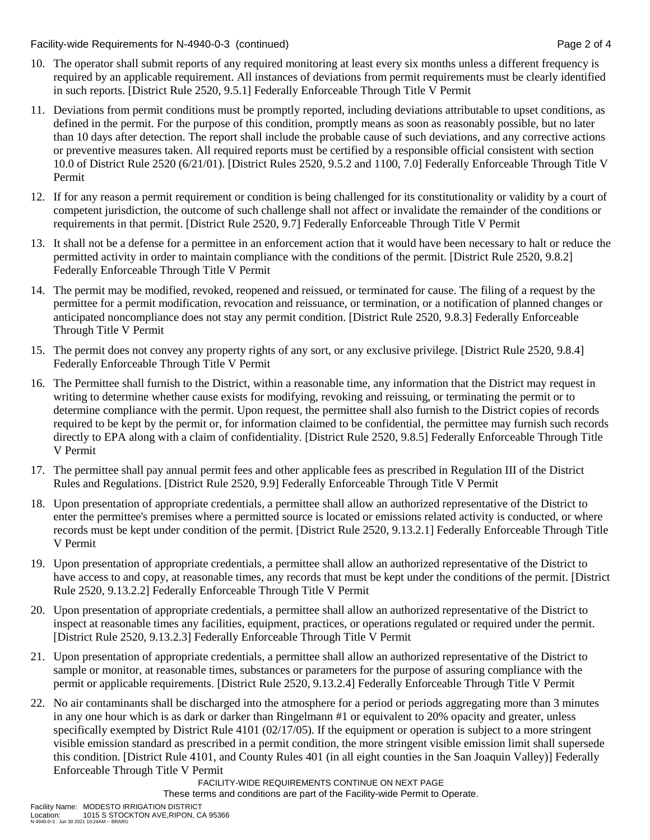Facility-wide Requirements for N-4940-0-3 (continued) Page 2 of 4

- 10. The operator shall submit reports of any required monitoring at least every six months unless a different frequency is required by an applicable requirement. All instances of deviations from permit requirements must be clearly identified in such reports. [District Rule 2520, 9.5.1] Federally Enforceable Through Title V Permit
- 11. Deviations from permit conditions must be promptly reported, including deviations attributable to upset conditions, as defined in the permit. For the purpose of this condition, promptly means as soon as reasonably possible, but no later than 10 days after detection. The report shall include the probable cause of such deviations, and any corrective actions or preventive measures taken. All required reports must be certified by a responsible official consistent with section 10.0 of District Rule 2520 (6/21/01). [District Rules 2520, 9.5.2 and 1100, 7.0] Federally Enforceable Through Title V Permit
- 12. If for any reason a permit requirement or condition is being challenged for its constitutionality or validity by a court of competent jurisdiction, the outcome of such challenge shall not affect or invalidate the remainder of the conditions or requirements in that permit. [District Rule 2520, 9.7] Federally Enforceable Through Title V Permit
- 13. It shall not be a defense for a permittee in an enforcement action that it would have been necessary to halt or reduce the permitted activity in order to maintain compliance with the conditions of the permit. [District Rule 2520, 9.8.2] Federally Enforceable Through Title V Permit
- 14. The permit may be modified, revoked, reopened and reissued, or terminated for cause. The filing of a request by the permittee for a permit modification, revocation and reissuance, or termination, or a notification of planned changes or anticipated noncompliance does not stay any permit condition. [District Rule 2520, 9.8.3] Federally Enforceable Through Title V Permit
- 15. The permit does not convey any property rights of any sort, or any exclusive privilege. [District Rule 2520, 9.8.4] Federally Enforceable Through Title V Permit
- 16. The Permittee shall furnish to the District, within a reasonable time, any information that the District may request in writing to determine whether cause exists for modifying, revoking and reissuing, or terminating the permit or to determine compliance with the permit. Upon request, the permittee shall also furnish to the District copies of records required to be kept by the permit or, for information claimed to be confidential, the permittee may furnish such records directly to EPA along with a claim of confidentiality. [District Rule 2520, 9.8.5] Federally Enforceable Through Title V Permit
- 17. The permittee shall pay annual permit fees and other applicable fees as prescribed in Regulation III of the District Rules and Regulations. [District Rule 2520, 9.9] Federally Enforceable Through Title V Permit
- 18. Upon presentation of appropriate credentials, a permittee shall allow an authorized representative of the District to enter the permittee's premises where a permitted source is located or emissions related activity is conducted, or where records must be kept under condition of the permit. [District Rule 2520, 9.13.2.1] Federally Enforceable Through Title V Permit
- 19. Upon presentation of appropriate credentials, a permittee shall allow an authorized representative of the District to have access to and copy, at reasonable times, any records that must be kept under the conditions of the permit. [District Rule 2520, 9.13.2.2] Federally Enforceable Through Title V Permit
- 20. Upon presentation of appropriate credentials, a permittee shall allow an authorized representative of the District to inspect at reasonable times any facilities, equipment, practices, or operations regulated or required under the permit. [District Rule 2520, 9.13.2.3] Federally Enforceable Through Title V Permit
- 21. Upon presentation of appropriate credentials, a permittee shall allow an authorized representative of the District to sample or monitor, at reasonable times, substances or parameters for the purpose of assuring compliance with the permit or applicable requirements. [District Rule 2520, 9.13.2.4] Federally Enforceable Through Title V Permit
- 22. No air contaminants shall be discharged into the atmosphere for a period or periods aggregating more than 3 minutes in any one hour which is as dark or darker than Ringelmann #1 or equivalent to 20% opacity and greater, unless specifically exempted by District Rule 4101 (02/17/05). If the equipment or operation is subject to a more stringent visible emission standard as prescribed in a permit condition, the more stringent visible emission limit shall supersede this condition. [District Rule 4101, and County Rules 401 (in all eight counties in the San Joaquin Valley)] Federally Enforceable Through Title V Permit

FACILITY-WIDE REQUIREMENTS CONTINUE ON NEXT PAGE

These terms and conditions are part of the Facility-wide Permit to Operate.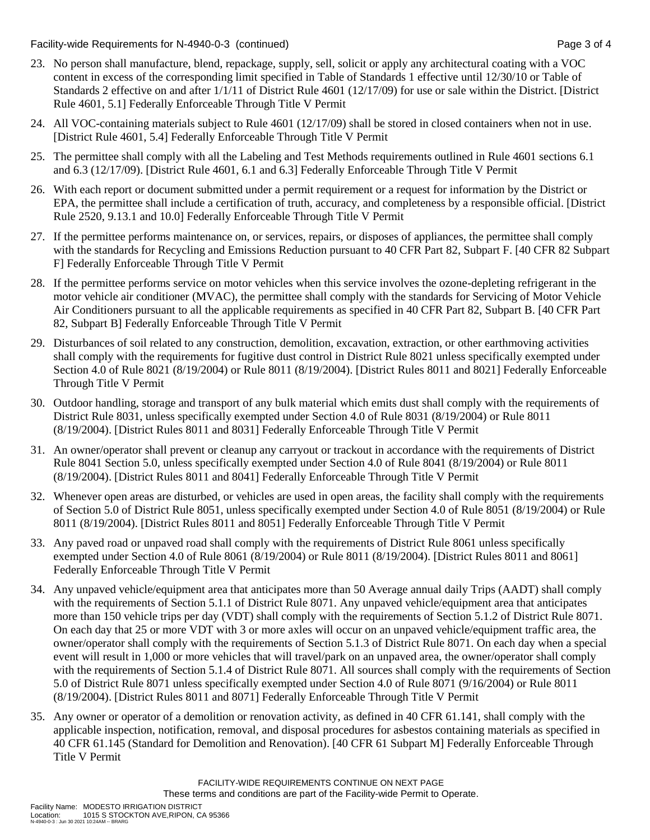Facility-wide Requirements for N-4940-0-3 (continued) Page 3 of 4

- 23. No person shall manufacture, blend, repackage, supply, sell, solicit or apply any architectural coating with a VOC content in excess of the corresponding limit specified in Table of Standards 1 effective until 12/30/10 or Table of Standards 2 effective on and after 1/1/11 of District Rule 4601 (12/17/09) for use or sale within the District. [District Rule 4601, 5.1] Federally Enforceable Through Title V Permit
- 24. All VOC-containing materials subject to Rule 4601 (12/17/09) shall be stored in closed containers when not in use. [District Rule 4601, 5.4] Federally Enforceable Through Title V Permit
- 25. The permittee shall comply with all the Labeling and Test Methods requirements outlined in Rule 4601 sections 6.1 and 6.3 (12/17/09). [District Rule 4601, 6.1 and 6.3] Federally Enforceable Through Title V Permit
- 26. With each report or document submitted under a permit requirement or a request for information by the District or EPA, the permittee shall include a certification of truth, accuracy, and completeness by a responsible official. [District Rule 2520, 9.13.1 and 10.0] Federally Enforceable Through Title V Permit
- 27. If the permittee performs maintenance on, or services, repairs, or disposes of appliances, the permittee shall comply with the standards for Recycling and Emissions Reduction pursuant to 40 CFR Part 82, Subpart F. [40 CFR 82 Subpart F] Federally Enforceable Through Title V Permit
- 28. If the permittee performs service on motor vehicles when this service involves the ozone-depleting refrigerant in the motor vehicle air conditioner (MVAC), the permittee shall comply with the standards for Servicing of Motor Vehicle Air Conditioners pursuant to all the applicable requirements as specified in 40 CFR Part 82, Subpart B. [40 CFR Part 82, Subpart B] Federally Enforceable Through Title V Permit
- 29. Disturbances of soil related to any construction, demolition, excavation, extraction, or other earthmoving activities shall comply with the requirements for fugitive dust control in District Rule 8021 unless specifically exempted under Section 4.0 of Rule 8021 (8/19/2004) or Rule 8011 (8/19/2004). [District Rules 8011 and 8021] Federally Enforceable Through Title V Permit
- 30. Outdoor handling, storage and transport of any bulk material which emits dust shall comply with the requirements of District Rule 8031, unless specifically exempted under Section 4.0 of Rule 8031 (8/19/2004) or Rule 8011 (8/19/2004). [District Rules 8011 and 8031] Federally Enforceable Through Title V Permit
- 31. An owner/operator shall prevent or cleanup any carryout or trackout in accordance with the requirements of District Rule 8041 Section 5.0, unless specifically exempted under Section 4.0 of Rule 8041 (8/19/2004) or Rule 8011 (8/19/2004). [District Rules 8011 and 8041] Federally Enforceable Through Title V Permit
- 32. Whenever open areas are disturbed, or vehicles are used in open areas, the facility shall comply with the requirements of Section 5.0 of District Rule 8051, unless specifically exempted under Section 4.0 of Rule 8051 (8/19/2004) or Rule 8011 (8/19/2004). [District Rules 8011 and 8051] Federally Enforceable Through Title V Permit
- 33. Any paved road or unpaved road shall comply with the requirements of District Rule 8061 unless specifically exempted under Section 4.0 of Rule 8061 (8/19/2004) or Rule 8011 (8/19/2004). [District Rules 8011 and 8061] Federally Enforceable Through Title V Permit
- 34. Any unpaved vehicle/equipment area that anticipates more than 50 Average annual daily Trips (AADT) shall comply with the requirements of Section 5.1.1 of District Rule 8071. Any unpaved vehicle/equipment area that anticipates more than 150 vehicle trips per day (VDT) shall comply with the requirements of Section 5.1.2 of District Rule 8071. On each day that 25 or more VDT with 3 or more axles will occur on an unpaved vehicle/equipment traffic area, the owner/operator shall comply with the requirements of Section 5.1.3 of District Rule 8071. On each day when a special event will result in 1,000 or more vehicles that will travel/park on an unpaved area, the owner/operator shall comply with the requirements of Section 5.1.4 of District Rule 8071. All sources shall comply with the requirements of Section 5.0 of District Rule 8071 unless specifically exempted under Section 4.0 of Rule 8071 (9/16/2004) or Rule 8011 (8/19/2004). [District Rules 8011 and 8071] Federally Enforceable Through Title V Permit
- 35. Any owner or operator of a demolition or renovation activity, as defined in 40 CFR 61.141, shall comply with the applicable inspection, notification, removal, and disposal procedures for asbestos containing materials as specified in 40 CFR 61.145 (Standard for Demolition and Renovation). [40 CFR 61 Subpart M] Federally Enforceable Through Title V Permit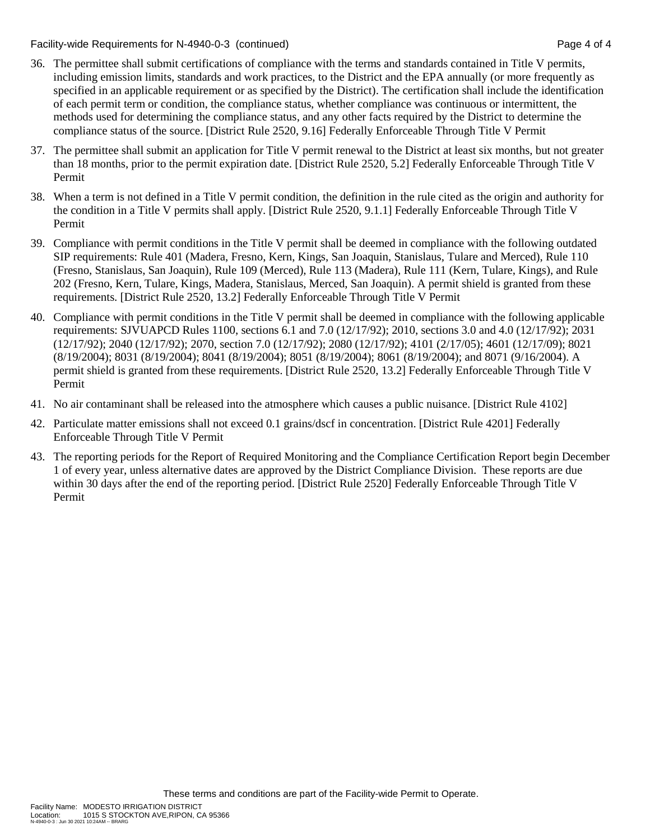Facility-wide Requirements for N-4940-0-3 (continued) Page 4 of 4

- 36. The permittee shall submit certifications of compliance with the terms and standards contained in Title V permits, including emission limits, standards and work practices, to the District and the EPA annually (or more frequently as specified in an applicable requirement or as specified by the District). The certification shall include the identification of each permit term or condition, the compliance status, whether compliance was continuous or intermittent, the methods used for determining the compliance status, and any other facts required by the District to determine the compliance status of the source. [District Rule 2520, 9.16] Federally Enforceable Through Title V Permit
- 37. The permittee shall submit an application for Title V permit renewal to the District at least six months, but not greater than 18 months, prior to the permit expiration date. [District Rule 2520, 5.2] Federally Enforceable Through Title V Permit
- 38. When a term is not defined in a Title V permit condition, the definition in the rule cited as the origin and authority for the condition in a Title V permits shall apply. [District Rule 2520, 9.1.1] Federally Enforceable Through Title V Permit
- 39. Compliance with permit conditions in the Title V permit shall be deemed in compliance with the following outdated SIP requirements: Rule 401 (Madera, Fresno, Kern, Kings, San Joaquin, Stanislaus, Tulare and Merced), Rule 110 (Fresno, Stanislaus, San Joaquin), Rule 109 (Merced), Rule 113 (Madera), Rule 111 (Kern, Tulare, Kings), and Rule 202 (Fresno, Kern, Tulare, Kings, Madera, Stanislaus, Merced, San Joaquin). A permit shield is granted from these requirements. [District Rule 2520, 13.2] Federally Enforceable Through Title V Permit
- 40. Compliance with permit conditions in the Title V permit shall be deemed in compliance with the following applicable requirements: SJVUAPCD Rules 1100, sections 6.1 and 7.0 (12/17/92); 2010, sections 3.0 and 4.0 (12/17/92); 2031 (12/17/92); 2040 (12/17/92); 2070, section 7.0 (12/17/92); 2080 (12/17/92); 4101 (2/17/05); 4601 (12/17/09); 8021 (8/19/2004); 8031 (8/19/2004); 8041 (8/19/2004); 8051 (8/19/2004); 8061 (8/19/2004); and 8071 (9/16/2004). A permit shield is granted from these requirements. [District Rule 2520, 13.2] Federally Enforceable Through Title V Permit
- 41. No air contaminant shall be released into the atmosphere which causes a public nuisance. [District Rule 4102]
- 42. Particulate matter emissions shall not exceed 0.1 grains/dscf in concentration. [District Rule 4201] Federally Enforceable Through Title V Permit
- 43. The reporting periods for the Report of Required Monitoring and the Compliance Certification Report begin December 1 of every year, unless alternative dates are approved by the District Compliance Division. These reports are due within 30 days after the end of the reporting period. [District Rule 2520] Federally Enforceable Through Title V Permit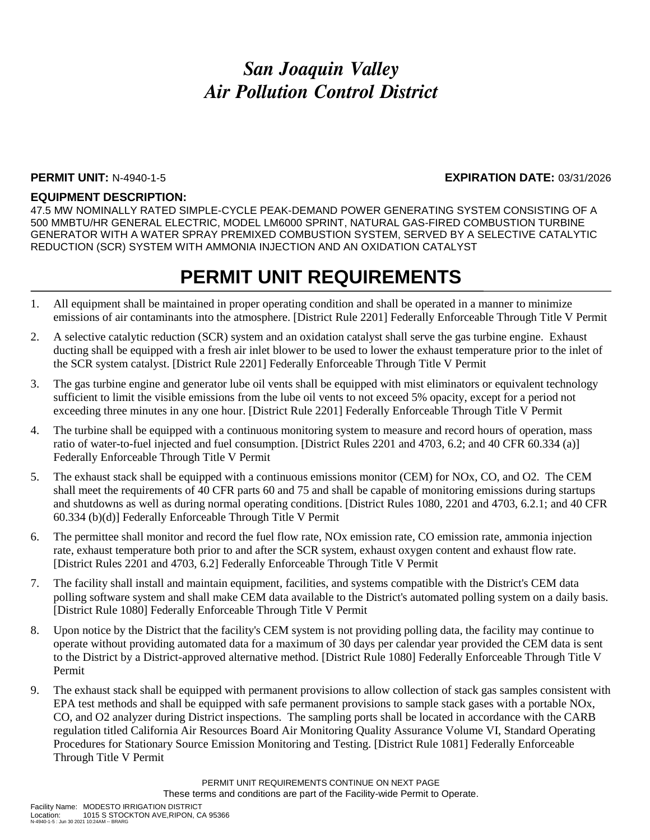### **PERMIT UNIT:** N-4940-1-5 **EXPIRATION DATE:** 03/31/2026

### **EQUIPMENT DESCRIPTION:**

47.5 MW NOMINALLY RATED SIMPLE-CYCLE PEAK-DEMAND POWER GENERATING SYSTEM CONSISTING OF A 500 MMBTU/HR GENERAL ELECTRIC, MODEL LM6000 SPRINT, NATURAL GAS-FIRED COMBUSTION TURBINE GENERATOR WITH A WATER SPRAY PREMIXED COMBUSTION SYSTEM, SERVED BY A SELECTIVE CATALYTIC REDUCTION (SCR) SYSTEM WITH AMMONIA INJECTION AND AN OXIDATION CATALYST

## **PERMIT UNIT REQUIREMENTS**

- 1. All equipment shall be maintained in proper operating condition and shall be operated in a manner to minimize emissions of air contaminants into the atmosphere. [District Rule 2201] Federally Enforceable Through Title V Permit
- 2. A selective catalytic reduction (SCR) system and an oxidation catalyst shall serve the gas turbine engine. Exhaust ducting shall be equipped with a fresh air inlet blower to be used to lower the exhaust temperature prior to the inlet of the SCR system catalyst. [District Rule 2201] Federally Enforceable Through Title V Permit
- 3. The gas turbine engine and generator lube oil vents shall be equipped with mist eliminators or equivalent technology sufficient to limit the visible emissions from the lube oil vents to not exceed 5% opacity, except for a period not exceeding three minutes in any one hour. [District Rule 2201] Federally Enforceable Through Title V Permit
- 4. The turbine shall be equipped with a continuous monitoring system to measure and record hours of operation, mass ratio of water-to-fuel injected and fuel consumption. [District Rules 2201 and 4703, 6.2; and 40 CFR 60.334 (a)] Federally Enforceable Through Title V Permit
- 5. The exhaust stack shall be equipped with a continuous emissions monitor (CEM) for NOx, CO, and O2. The CEM shall meet the requirements of 40 CFR parts 60 and 75 and shall be capable of monitoring emissions during startups and shutdowns as well as during normal operating conditions. [District Rules 1080, 2201 and 4703, 6.2.1; and 40 CFR 60.334 (b)(d)] Federally Enforceable Through Title V Permit
- 6. The permittee shall monitor and record the fuel flow rate, NOx emission rate, CO emission rate, ammonia injection rate, exhaust temperature both prior to and after the SCR system, exhaust oxygen content and exhaust flow rate. [District Rules 2201 and 4703, 6.2] Federally Enforceable Through Title V Permit
- 7. The facility shall install and maintain equipment, facilities, and systems compatible with the District's CEM data polling software system and shall make CEM data available to the District's automated polling system on a daily basis. [District Rule 1080] Federally Enforceable Through Title V Permit
- 8. Upon notice by the District that the facility's CEM system is not providing polling data, the facility may continue to operate without providing automated data for a maximum of 30 days per calendar year provided the CEM data is sent to the District by a District-approved alternative method. [District Rule 1080] Federally Enforceable Through Title V Permit
- 9. The exhaust stack shall be equipped with permanent provisions to allow collection of stack gas samples consistent with EPA test methods and shall be equipped with safe permanent provisions to sample stack gases with a portable NOx, CO, and O2 analyzer during District inspections. The sampling ports shall be located in accordance with the CARB regulation titled California Air Resources Board Air Monitoring Quality Assurance Volume VI, Standard Operating Procedures for Stationary Source Emission Monitoring and Testing. [District Rule 1081] Federally Enforceable Through Title V Permit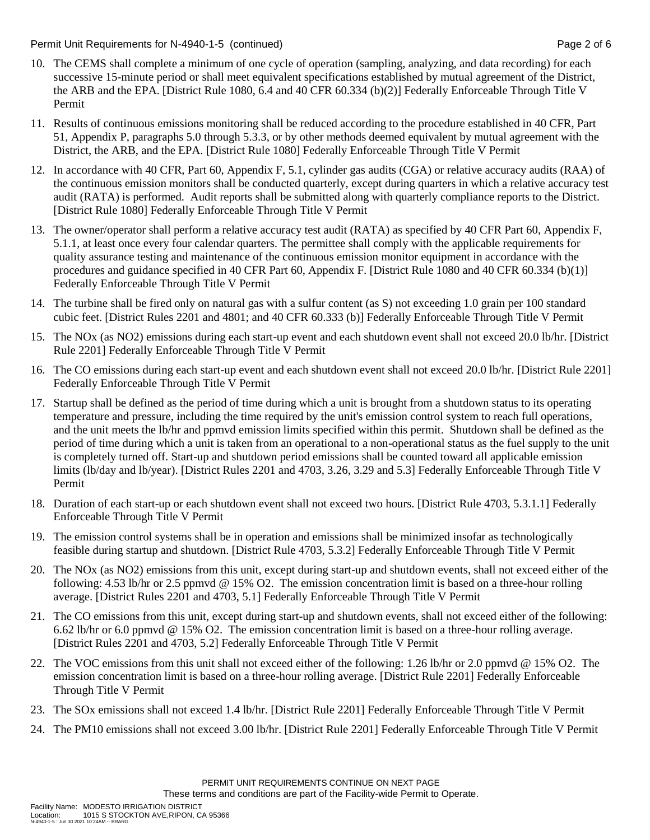Permit Unit Requirements for N-4940-1-5 (continued) **Page 2** of 6

- 10. The CEMS shall complete a minimum of one cycle of operation (sampling, analyzing, and data recording) for each successive 15-minute period or shall meet equivalent specifications established by mutual agreement of the District, the ARB and the EPA. [District Rule 1080, 6.4 and 40 CFR 60.334 (b)(2)] Federally Enforceable Through Title V Permit
- 11. Results of continuous emissions monitoring shall be reduced according to the procedure established in 40 CFR, Part 51, Appendix P, paragraphs 5.0 through 5.3.3, or by other methods deemed equivalent by mutual agreement with the District, the ARB, and the EPA. [District Rule 1080] Federally Enforceable Through Title V Permit
- 12. In accordance with 40 CFR, Part 60, Appendix F, 5.1, cylinder gas audits (CGA) or relative accuracy audits (RAA) of the continuous emission monitors shall be conducted quarterly, except during quarters in which a relative accuracy test audit (RATA) is performed. Audit reports shall be submitted along with quarterly compliance reports to the District. [District Rule 1080] Federally Enforceable Through Title V Permit
- 13. The owner/operator shall perform a relative accuracy test audit (RATA) as specified by 40 CFR Part 60, Appendix F, 5.1.1, at least once every four calendar quarters. The permittee shall comply with the applicable requirements for quality assurance testing and maintenance of the continuous emission monitor equipment in accordance with the procedures and guidance specified in 40 CFR Part 60, Appendix F. [District Rule 1080 and 40 CFR 60.334 (b)(1)] Federally Enforceable Through Title V Permit
- 14. The turbine shall be fired only on natural gas with a sulfur content (as S) not exceeding 1.0 grain per 100 standard cubic feet. [District Rules 2201 and 4801; and 40 CFR 60.333 (b)] Federally Enforceable Through Title V Permit
- 15. The NOx (as NO2) emissions during each start-up event and each shutdown event shall not exceed 20.0 lb/hr. [District Rule 2201] Federally Enforceable Through Title V Permit
- 16. The CO emissions during each start-up event and each shutdown event shall not exceed 20.0 lb/hr. [District Rule 2201] Federally Enforceable Through Title V Permit
- 17. Startup shall be defined as the period of time during which a unit is brought from a shutdown status to its operating temperature and pressure, including the time required by the unit's emission control system to reach full operations, and the unit meets the lb/hr and ppmvd emission limits specified within this permit. Shutdown shall be defined as the period of time during which a unit is taken from an operational to a non-operational status as the fuel supply to the unit is completely turned off. Start-up and shutdown period emissions shall be counted toward all applicable emission limits (lb/day and lb/year). [District Rules 2201 and 4703, 3.26, 3.29 and 5.3] Federally Enforceable Through Title V Permit
- 18. Duration of each start-up or each shutdown event shall not exceed two hours. [District Rule 4703, 5.3.1.1] Federally Enforceable Through Title V Permit
- 19. The emission control systems shall be in operation and emissions shall be minimized insofar as technologically feasible during startup and shutdown. [District Rule 4703, 5.3.2] Federally Enforceable Through Title V Permit
- 20. The NOx (as NO2) emissions from this unit, except during start-up and shutdown events, shall not exceed either of the following: 4.53 lb/hr or 2.5 ppmvd @ 15% O2. The emission concentration limit is based on a three-hour rolling average. [District Rules 2201 and 4703, 5.1] Federally Enforceable Through Title V Permit
- 21. The CO emissions from this unit, except during start-up and shutdown events, shall not exceed either of the following: 6.62 lb/hr or 6.0 ppmvd @ 15% O2. The emission concentration limit is based on a three-hour rolling average. [District Rules 2201 and 4703, 5.2] Federally Enforceable Through Title V Permit
- 22. The VOC emissions from this unit shall not exceed either of the following: 1.26 lb/hr or 2.0 ppmvd @ 15% O2. The emission concentration limit is based on a three-hour rolling average. [District Rule 2201] Federally Enforceable Through Title V Permit
- 23. The SOx emissions shall not exceed 1.4 lb/hr. [District Rule 2201] Federally Enforceable Through Title V Permit
- 24. The PM10 emissions shall not exceed 3.00 lb/hr. [District Rule 2201] Federally Enforceable Through Title V Permit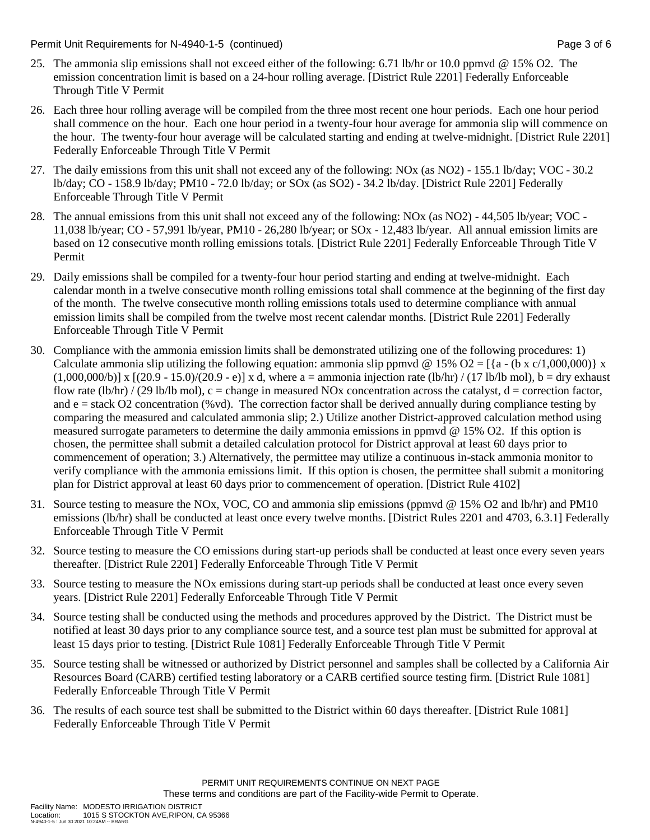Permit Unit Requirements for N-4940-1-5 (continued) Page 3 of 6

- 25. The ammonia slip emissions shall not exceed either of the following: 6.71 lb/hr or 10.0 ppmvd @ 15% O2. The emission concentration limit is based on a 24-hour rolling average. [District Rule 2201] Federally Enforceable Through Title V Permit
- 26. Each three hour rolling average will be compiled from the three most recent one hour periods. Each one hour period shall commence on the hour. Each one hour period in a twenty-four hour average for ammonia slip will commence on the hour. The twenty-four hour average will be calculated starting and ending at twelve-midnight. [District Rule 2201] Federally Enforceable Through Title V Permit
- 27. The daily emissions from this unit shall not exceed any of the following: NOx (as NO2) 155.1 lb/day; VOC 30.2 lb/day; CO - 158.9 lb/day; PM10 - 72.0 lb/day; or SOx (as SO2) - 34.2 lb/day. [District Rule 2201] Federally Enforceable Through Title V Permit
- 28. The annual emissions from this unit shall not exceed any of the following: NOx (as NO2) 44,505 lb/year; VOC 11,038 lb/year; CO - 57,991 lb/year, PM10 - 26,280 lb/year; or SOx - 12,483 lb/year. All annual emission limits are based on 12 consecutive month rolling emissions totals. [District Rule 2201] Federally Enforceable Through Title V Permit
- 29. Daily emissions shall be compiled for a twenty-four hour period starting and ending at twelve-midnight. Each calendar month in a twelve consecutive month rolling emissions total shall commence at the beginning of the first day of the month. The twelve consecutive month rolling emissions totals used to determine compliance with annual emission limits shall be compiled from the twelve most recent calendar months. [District Rule 2201] Federally Enforceable Through Title V Permit
- 30. Compliance with the ammonia emission limits shall be demonstrated utilizing one of the following procedures: 1) Calculate ammonia slip utilizing the following equation: ammonia slip ppmvd @ 15% O2 = [{a - (b x c/1,000,000)} x  $(1,000,000/b)$ ] x  $[(20.9 - 15.0)/(20.9 - e)]$  x d, where a = ammonia injection rate (lb/hr) / (17 lb/lb mol), b = dry exhaust flow rate  $(lb/hr) / (29 lb/lb mol)$ , c = change in measured NOx concentration across the catalyst, d = correction factor, and  $e =$  stack O2 concentration (%vd). The correction factor shall be derived annually during compliance testing by comparing the measured and calculated ammonia slip; 2.) Utilize another District-approved calculation method using measured surrogate parameters to determine the daily ammonia emissions in ppmvd @ 15% O2. If this option is chosen, the permittee shall submit a detailed calculation protocol for District approval at least 60 days prior to commencement of operation; 3.) Alternatively, the permittee may utilize a continuous in-stack ammonia monitor to verify compliance with the ammonia emissions limit. If this option is chosen, the permittee shall submit a monitoring plan for District approval at least 60 days prior to commencement of operation. [District Rule 4102]
- 31. Source testing to measure the NOx, VOC, CO and ammonia slip emissions (ppmvd @ 15% O2 and lb/hr) and PM10 emissions (lb/hr) shall be conducted at least once every twelve months. [District Rules 2201 and 4703, 6.3.1] Federally Enforceable Through Title V Permit
- 32. Source testing to measure the CO emissions during start-up periods shall be conducted at least once every seven years thereafter. [District Rule 2201] Federally Enforceable Through Title V Permit
- 33. Source testing to measure the NOx emissions during start-up periods shall be conducted at least once every seven years. [District Rule 2201] Federally Enforceable Through Title V Permit
- 34. Source testing shall be conducted using the methods and procedures approved by the District. The District must be notified at least 30 days prior to any compliance source test, and a source test plan must be submitted for approval at least 15 days prior to testing. [District Rule 1081] Federally Enforceable Through Title V Permit
- 35. Source testing shall be witnessed or authorized by District personnel and samples shall be collected by a California Air Resources Board (CARB) certified testing laboratory or a CARB certified source testing firm. [District Rule 1081] Federally Enforceable Through Title V Permit
- 36. The results of each source test shall be submitted to the District within 60 days thereafter. [District Rule 1081] Federally Enforceable Through Title V Permit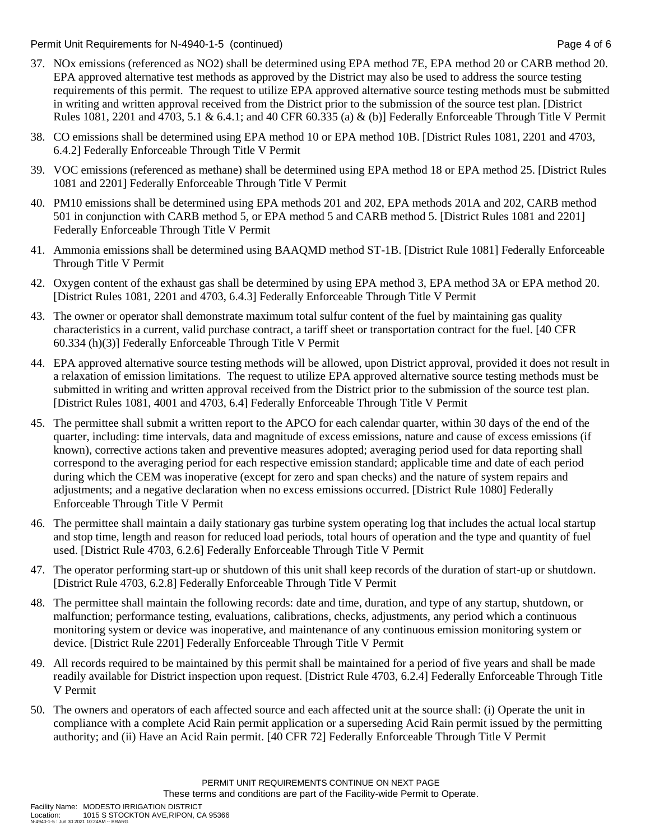Permit Unit Requirements for N-4940-1-5 (continued) Page 4 of 6

- 37. NOx emissions (referenced as NO2) shall be determined using EPA method 7E, EPA method 20 or CARB method 20. EPA approved alternative test methods as approved by the District may also be used to address the source testing requirements of this permit. The request to utilize EPA approved alternative source testing methods must be submitted in writing and written approval received from the District prior to the submission of the source test plan. [District Rules 1081, 2201 and 4703, 5.1 & 6.4.1; and 40 CFR 60.335 (a) & (b)] Federally Enforceable Through Title V Permit
- 38. CO emissions shall be determined using EPA method 10 or EPA method 10B. [District Rules 1081, 2201 and 4703, 6.4.2] Federally Enforceable Through Title V Permit
- 39. VOC emissions (referenced as methane) shall be determined using EPA method 18 or EPA method 25. [District Rules 1081 and 2201] Federally Enforceable Through Title V Permit
- 40. PM10 emissions shall be determined using EPA methods 201 and 202, EPA methods 201A and 202, CARB method 501 in conjunction with CARB method 5, or EPA method 5 and CARB method 5. [District Rules 1081 and 2201] Federally Enforceable Through Title V Permit
- 41. Ammonia emissions shall be determined using BAAQMD method ST-1B. [District Rule 1081] Federally Enforceable Through Title V Permit
- 42. Oxygen content of the exhaust gas shall be determined by using EPA method 3, EPA method 3A or EPA method 20. [District Rules 1081, 2201 and 4703, 6.4.3] Federally Enforceable Through Title V Permit
- 43. The owner or operator shall demonstrate maximum total sulfur content of the fuel by maintaining gas quality characteristics in a current, valid purchase contract, a tariff sheet or transportation contract for the fuel. [40 CFR 60.334 (h)(3)] Federally Enforceable Through Title V Permit
- 44. EPA approved alternative source testing methods will be allowed, upon District approval, provided it does not result in a relaxation of emission limitations. The request to utilize EPA approved alternative source testing methods must be submitted in writing and written approval received from the District prior to the submission of the source test plan. [District Rules 1081, 4001 and 4703, 6.4] Federally Enforceable Through Title V Permit
- 45. The permittee shall submit a written report to the APCO for each calendar quarter, within 30 days of the end of the quarter, including: time intervals, data and magnitude of excess emissions, nature and cause of excess emissions (if known), corrective actions taken and preventive measures adopted; averaging period used for data reporting shall correspond to the averaging period for each respective emission standard; applicable time and date of each period during which the CEM was inoperative (except for zero and span checks) and the nature of system repairs and adjustments; and a negative declaration when no excess emissions occurred. [District Rule 1080] Federally Enforceable Through Title V Permit
- 46. The permittee shall maintain a daily stationary gas turbine system operating log that includes the actual local startup and stop time, length and reason for reduced load periods, total hours of operation and the type and quantity of fuel used. [District Rule 4703, 6.2.6] Federally Enforceable Through Title V Permit
- 47. The operator performing start-up or shutdown of this unit shall keep records of the duration of start-up or shutdown. [District Rule 4703, 6.2.8] Federally Enforceable Through Title V Permit
- 48. The permittee shall maintain the following records: date and time, duration, and type of any startup, shutdown, or malfunction; performance testing, evaluations, calibrations, checks, adjustments, any period which a continuous monitoring system or device was inoperative, and maintenance of any continuous emission monitoring system or device. [District Rule 2201] Federally Enforceable Through Title V Permit
- 49. All records required to be maintained by this permit shall be maintained for a period of five years and shall be made readily available for District inspection upon request. [District Rule 4703, 6.2.4] Federally Enforceable Through Title V Permit
- 50. The owners and operators of each affected source and each affected unit at the source shall: (i) Operate the unit in compliance with a complete Acid Rain permit application or a superseding Acid Rain permit issued by the permitting authority; and (ii) Have an Acid Rain permit. [40 CFR 72] Federally Enforceable Through Title V Permit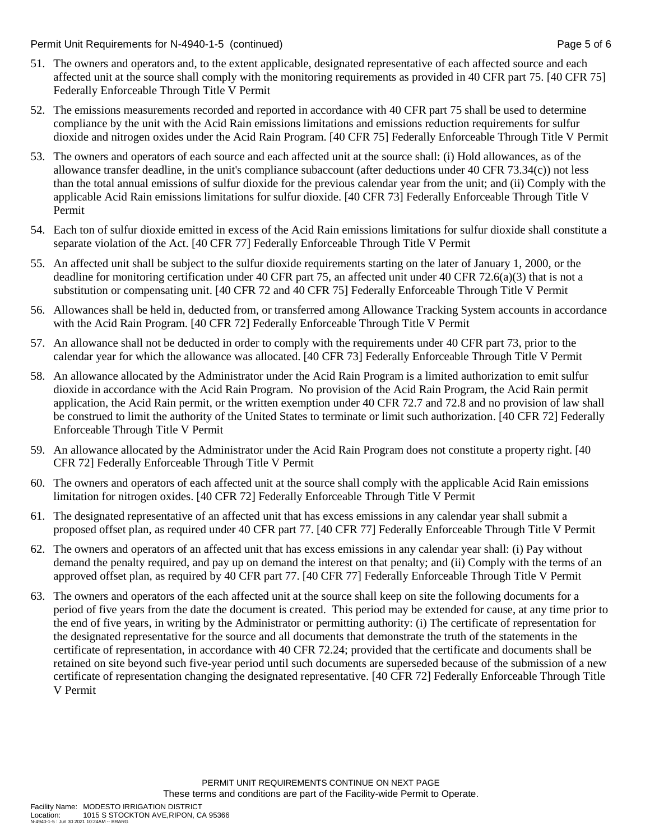Permit Unit Requirements for N-4940-1-5 (continued) Page 5 of 6 continued Page 5 of 6

- 51. The owners and operators and, to the extent applicable, designated representative of each affected source and each affected unit at the source shall comply with the monitoring requirements as provided in 40 CFR part 75. [40 CFR 75] Federally Enforceable Through Title V Permit
- 52. The emissions measurements recorded and reported in accordance with 40 CFR part 75 shall be used to determine compliance by the unit with the Acid Rain emissions limitations and emissions reduction requirements for sulfur dioxide and nitrogen oxides under the Acid Rain Program. [40 CFR 75] Federally Enforceable Through Title V Permit
- 53. The owners and operators of each source and each affected unit at the source shall: (i) Hold allowances, as of the allowance transfer deadline, in the unit's compliance subaccount (after deductions under 40 CFR 73.34(c)) not less than the total annual emissions of sulfur dioxide for the previous calendar year from the unit; and (ii) Comply with the applicable Acid Rain emissions limitations for sulfur dioxide. [40 CFR 73] Federally Enforceable Through Title V Permit
- 54. Each ton of sulfur dioxide emitted in excess of the Acid Rain emissions limitations for sulfur dioxide shall constitute a separate violation of the Act. [40 CFR 77] Federally Enforceable Through Title V Permit
- 55. An affected unit shall be subject to the sulfur dioxide requirements starting on the later of January 1, 2000, or the deadline for monitoring certification under 40 CFR part 75, an affected unit under 40 CFR 72.6(a)(3) that is not a substitution or compensating unit. [40 CFR 72 and 40 CFR 75] Federally Enforceable Through Title V Permit
- 56. Allowances shall be held in, deducted from, or transferred among Allowance Tracking System accounts in accordance with the Acid Rain Program. [40 CFR 72] Federally Enforceable Through Title V Permit
- 57. An allowance shall not be deducted in order to comply with the requirements under 40 CFR part 73, prior to the calendar year for which the allowance was allocated. [40 CFR 73] Federally Enforceable Through Title V Permit
- 58. An allowance allocated by the Administrator under the Acid Rain Program is a limited authorization to emit sulfur dioxide in accordance with the Acid Rain Program. No provision of the Acid Rain Program, the Acid Rain permit application, the Acid Rain permit, or the written exemption under 40 CFR 72.7 and 72.8 and no provision of law shall be construed to limit the authority of the United States to terminate or limit such authorization. [40 CFR 72] Federally Enforceable Through Title V Permit
- 59. An allowance allocated by the Administrator under the Acid Rain Program does not constitute a property right. [40 CFR 72] Federally Enforceable Through Title V Permit
- 60. The owners and operators of each affected unit at the source shall comply with the applicable Acid Rain emissions limitation for nitrogen oxides. [40 CFR 72] Federally Enforceable Through Title V Permit
- 61. The designated representative of an affected unit that has excess emissions in any calendar year shall submit a proposed offset plan, as required under 40 CFR part 77. [40 CFR 77] Federally Enforceable Through Title V Permit
- 62. The owners and operators of an affected unit that has excess emissions in any calendar year shall: (i) Pay without demand the penalty required, and pay up on demand the interest on that penalty; and (ii) Comply with the terms of an approved offset plan, as required by 40 CFR part 77. [40 CFR 77] Federally Enforceable Through Title V Permit
- 63. The owners and operators of the each affected unit at the source shall keep on site the following documents for a period of five years from the date the document is created. This period may be extended for cause, at any time prior to the end of five years, in writing by the Administrator or permitting authority: (i) The certificate of representation for the designated representative for the source and all documents that demonstrate the truth of the statements in the certificate of representation, in accordance with 40 CFR 72.24; provided that the certificate and documents shall be retained on site beyond such five-year period until such documents are superseded because of the submission of a new certificate of representation changing the designated representative. [40 CFR 72] Federally Enforceable Through Title V Permit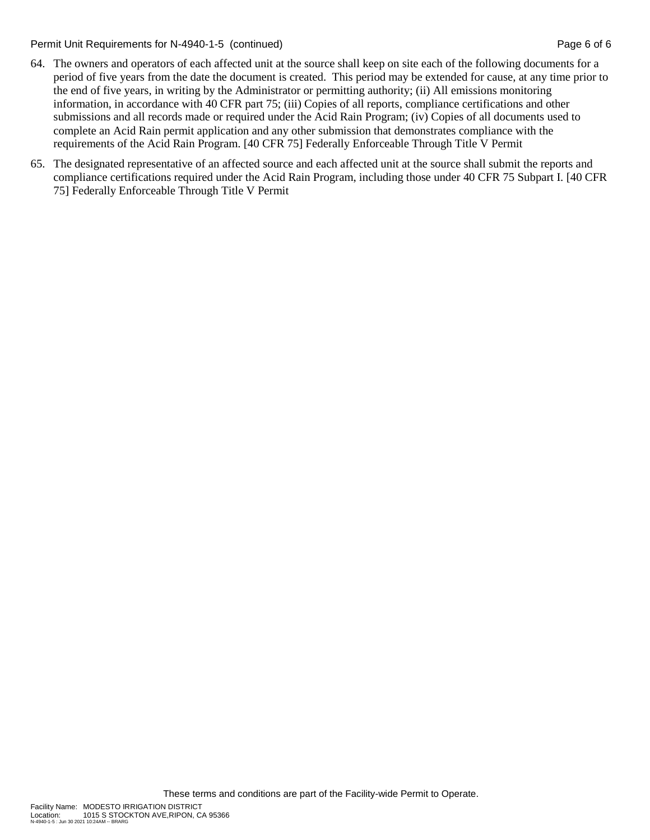Permit Unit Requirements for N-4940-1-5 (continued) Page 6 of 6 continued Page 6 of 6

- 64. The owners and operators of each affected unit at the source shall keep on site each of the following documents for a period of five years from the date the document is created. This period may be extended for cause, at any time prior to the end of five years, in writing by the Administrator or permitting authority; (ii) All emissions monitoring information, in accordance with 40 CFR part 75; (iii) Copies of all reports, compliance certifications and other submissions and all records made or required under the Acid Rain Program; (iv) Copies of all documents used to complete an Acid Rain permit application and any other submission that demonstrates compliance with the requirements of the Acid Rain Program. [40 CFR 75] Federally Enforceable Through Title V Permit
- 65. The designated representative of an affected source and each affected unit at the source shall submit the reports and compliance certifications required under the Acid Rain Program, including those under 40 CFR 75 Subpart I. [40 CFR 75] Federally Enforceable Through Title V Permit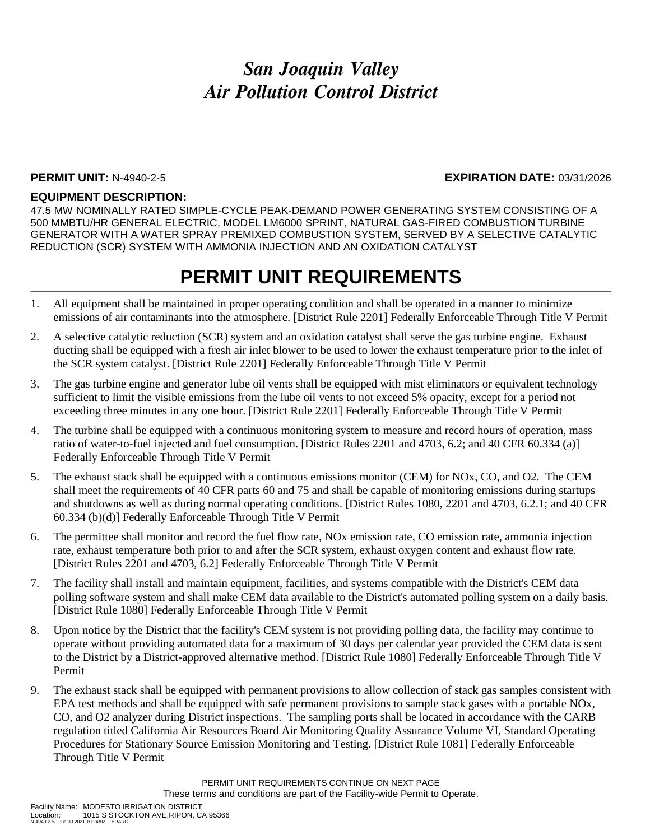### **PERMIT UNIT:** N-4940-2-5 **EXPIRATION DATE:** 03/31/2026

### **EQUIPMENT DESCRIPTION:**

47.5 MW NOMINALLY RATED SIMPLE-CYCLE PEAK-DEMAND POWER GENERATING SYSTEM CONSISTING OF A 500 MMBTU/HR GENERAL ELECTRIC, MODEL LM6000 SPRINT, NATURAL GAS-FIRED COMBUSTION TURBINE GENERATOR WITH A WATER SPRAY PREMIXED COMBUSTION SYSTEM, SERVED BY A SELECTIVE CATALYTIC REDUCTION (SCR) SYSTEM WITH AMMONIA INJECTION AND AN OXIDATION CATALYST

## **PERMIT UNIT REQUIREMENTS**

- 1. All equipment shall be maintained in proper operating condition and shall be operated in a manner to minimize emissions of air contaminants into the atmosphere. [District Rule 2201] Federally Enforceable Through Title V Permit
- 2. A selective catalytic reduction (SCR) system and an oxidation catalyst shall serve the gas turbine engine. Exhaust ducting shall be equipped with a fresh air inlet blower to be used to lower the exhaust temperature prior to the inlet of the SCR system catalyst. [District Rule 2201] Federally Enforceable Through Title V Permit
- 3. The gas turbine engine and generator lube oil vents shall be equipped with mist eliminators or equivalent technology sufficient to limit the visible emissions from the lube oil vents to not exceed 5% opacity, except for a period not exceeding three minutes in any one hour. [District Rule 2201] Federally Enforceable Through Title V Permit
- 4. The turbine shall be equipped with a continuous monitoring system to measure and record hours of operation, mass ratio of water-to-fuel injected and fuel consumption. [District Rules 2201 and 4703, 6.2; and 40 CFR 60.334 (a)] Federally Enforceable Through Title V Permit
- 5. The exhaust stack shall be equipped with a continuous emissions monitor (CEM) for NOx, CO, and O2. The CEM shall meet the requirements of 40 CFR parts 60 and 75 and shall be capable of monitoring emissions during startups and shutdowns as well as during normal operating conditions. [District Rules 1080, 2201 and 4703, 6.2.1; and 40 CFR 60.334 (b)(d)] Federally Enforceable Through Title V Permit
- 6. The permittee shall monitor and record the fuel flow rate, NOx emission rate, CO emission rate, ammonia injection rate, exhaust temperature both prior to and after the SCR system, exhaust oxygen content and exhaust flow rate. [District Rules 2201 and 4703, 6.2] Federally Enforceable Through Title V Permit
- 7. The facility shall install and maintain equipment, facilities, and systems compatible with the District's CEM data polling software system and shall make CEM data available to the District's automated polling system on a daily basis. [District Rule 1080] Federally Enforceable Through Title V Permit
- 8. Upon notice by the District that the facility's CEM system is not providing polling data, the facility may continue to operate without providing automated data for a maximum of 30 days per calendar year provided the CEM data is sent to the District by a District-approved alternative method. [District Rule 1080] Federally Enforceable Through Title V Permit
- 9. The exhaust stack shall be equipped with permanent provisions to allow collection of stack gas samples consistent with EPA test methods and shall be equipped with safe permanent provisions to sample stack gases with a portable NOx, CO, and O2 analyzer during District inspections. The sampling ports shall be located in accordance with the CARB regulation titled California Air Resources Board Air Monitoring Quality Assurance Volume VI, Standard Operating Procedures for Stationary Source Emission Monitoring and Testing. [District Rule 1081] Federally Enforceable Through Title V Permit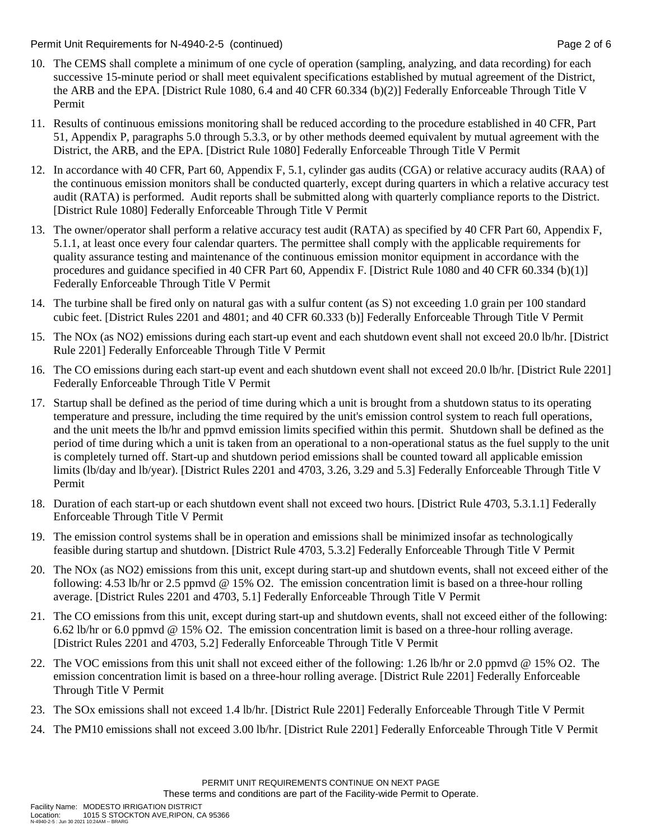### Permit Unit Requirements for N-4940-2-5 (continued) **Page 2** of 6

- 10. The CEMS shall complete a minimum of one cycle of operation (sampling, analyzing, and data recording) for each successive 15-minute period or shall meet equivalent specifications established by mutual agreement of the District, the ARB and the EPA. [District Rule 1080, 6.4 and 40 CFR 60.334 (b)(2)] Federally Enforceable Through Title V Permit
- 11. Results of continuous emissions monitoring shall be reduced according to the procedure established in 40 CFR, Part 51, Appendix P, paragraphs 5.0 through 5.3.3, or by other methods deemed equivalent by mutual agreement with the District, the ARB, and the EPA. [District Rule 1080] Federally Enforceable Through Title V Permit
- 12. In accordance with 40 CFR, Part 60, Appendix F, 5.1, cylinder gas audits (CGA) or relative accuracy audits (RAA) of the continuous emission monitors shall be conducted quarterly, except during quarters in which a relative accuracy test audit (RATA) is performed. Audit reports shall be submitted along with quarterly compliance reports to the District. [District Rule 1080] Federally Enforceable Through Title V Permit
- 13. The owner/operator shall perform a relative accuracy test audit (RATA) as specified by 40 CFR Part 60, Appendix F, 5.1.1, at least once every four calendar quarters. The permittee shall comply with the applicable requirements for quality assurance testing and maintenance of the continuous emission monitor equipment in accordance with the procedures and guidance specified in 40 CFR Part 60, Appendix F. [District Rule 1080 and 40 CFR 60.334 (b)(1)] Federally Enforceable Through Title V Permit
- 14. The turbine shall be fired only on natural gas with a sulfur content (as S) not exceeding 1.0 grain per 100 standard cubic feet. [District Rules 2201 and 4801; and 40 CFR 60.333 (b)] Federally Enforceable Through Title V Permit
- 15. The NOx (as NO2) emissions during each start-up event and each shutdown event shall not exceed 20.0 lb/hr. [District Rule 2201] Federally Enforceable Through Title V Permit
- 16. The CO emissions during each start-up event and each shutdown event shall not exceed 20.0 lb/hr. [District Rule 2201] Federally Enforceable Through Title V Permit
- 17. Startup shall be defined as the period of time during which a unit is brought from a shutdown status to its operating temperature and pressure, including the time required by the unit's emission control system to reach full operations, and the unit meets the lb/hr and ppmvd emission limits specified within this permit. Shutdown shall be defined as the period of time during which a unit is taken from an operational to a non-operational status as the fuel supply to the unit is completely turned off. Start-up and shutdown period emissions shall be counted toward all applicable emission limits (lb/day and lb/year). [District Rules 2201 and 4703, 3.26, 3.29 and 5.3] Federally Enforceable Through Title V Permit
- 18. Duration of each start-up or each shutdown event shall not exceed two hours. [District Rule 4703, 5.3.1.1] Federally Enforceable Through Title V Permit
- 19. The emission control systems shall be in operation and emissions shall be minimized insofar as technologically feasible during startup and shutdown. [District Rule 4703, 5.3.2] Federally Enforceable Through Title V Permit
- 20. The NOx (as NO2) emissions from this unit, except during start-up and shutdown events, shall not exceed either of the following: 4.53 lb/hr or 2.5 ppmvd @ 15% O2. The emission concentration limit is based on a three-hour rolling average. [District Rules 2201 and 4703, 5.1] Federally Enforceable Through Title V Permit
- 21. The CO emissions from this unit, except during start-up and shutdown events, shall not exceed either of the following: 6.62 lb/hr or 6.0 ppmvd @ 15% O2. The emission concentration limit is based on a three-hour rolling average. [District Rules 2201 and 4703, 5.2] Federally Enforceable Through Title V Permit
- 22. The VOC emissions from this unit shall not exceed either of the following: 1.26 lb/hr or 2.0 ppmvd @ 15% O2. The emission concentration limit is based on a three-hour rolling average. [District Rule 2201] Federally Enforceable Through Title V Permit
- 23. The SOx emissions shall not exceed 1.4 lb/hr. [District Rule 2201] Federally Enforceable Through Title V Permit
- 24. The PM10 emissions shall not exceed 3.00 lb/hr. [District Rule 2201] Federally Enforceable Through Title V Permit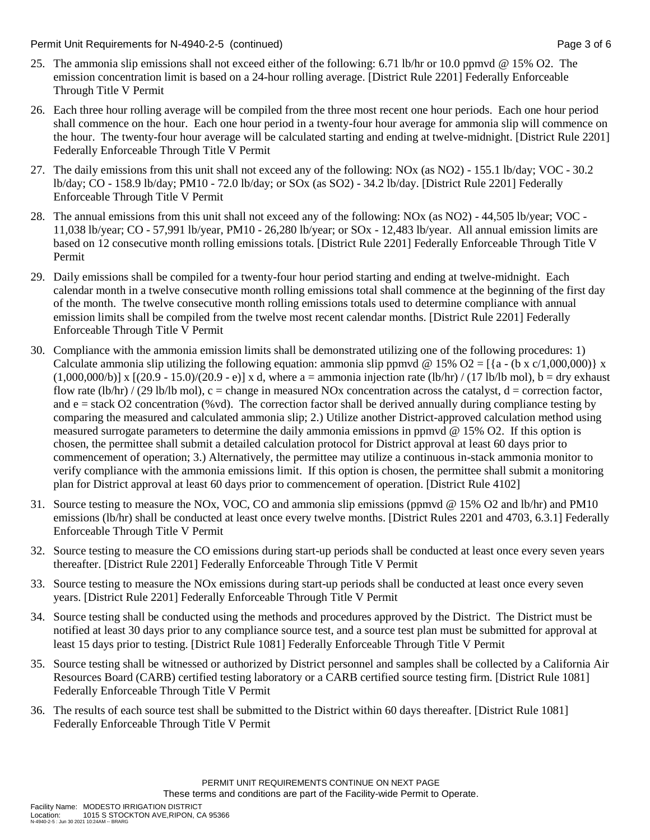Permit Unit Requirements for N-4940-2-5 (continued) Page 3 of 6

- 25. The ammonia slip emissions shall not exceed either of the following: 6.71 lb/hr or 10.0 ppmvd @ 15% O2. The emission concentration limit is based on a 24-hour rolling average. [District Rule 2201] Federally Enforceable Through Title V Permit
- 26. Each three hour rolling average will be compiled from the three most recent one hour periods. Each one hour period shall commence on the hour. Each one hour period in a twenty-four hour average for ammonia slip will commence on the hour. The twenty-four hour average will be calculated starting and ending at twelve-midnight. [District Rule 2201] Federally Enforceable Through Title V Permit
- 27. The daily emissions from this unit shall not exceed any of the following: NOx (as NO2) 155.1 lb/day; VOC 30.2 lb/day; CO - 158.9 lb/day; PM10 - 72.0 lb/day; or SOx (as SO2) - 34.2 lb/day. [District Rule 2201] Federally Enforceable Through Title V Permit
- 28. The annual emissions from this unit shall not exceed any of the following: NOx (as NO2) 44,505 lb/year; VOC 11,038 lb/year; CO - 57,991 lb/year, PM10 - 26,280 lb/year; or SOx - 12,483 lb/year. All annual emission limits are based on 12 consecutive month rolling emissions totals. [District Rule 2201] Federally Enforceable Through Title V Permit
- 29. Daily emissions shall be compiled for a twenty-four hour period starting and ending at twelve-midnight. Each calendar month in a twelve consecutive month rolling emissions total shall commence at the beginning of the first day of the month. The twelve consecutive month rolling emissions totals used to determine compliance with annual emission limits shall be compiled from the twelve most recent calendar months. [District Rule 2201] Federally Enforceable Through Title V Permit
- 30. Compliance with the ammonia emission limits shall be demonstrated utilizing one of the following procedures: 1) Calculate ammonia slip utilizing the following equation: ammonia slip ppmvd @ 15% O2 = [{a - (b x c/1,000,000)} x  $(1,000,000/b)$ ] x  $[(20.9 - 15.0)/(20.9 - e)]$  x d, where a = ammonia injection rate (lb/hr) / (17 lb/lb mol), b = dry exhaust flow rate  $(lb/hr) / (29 lb/lb mol)$ , c = change in measured NOx concentration across the catalyst, d = correction factor, and  $e =$  stack O2 concentration (%vd). The correction factor shall be derived annually during compliance testing by comparing the measured and calculated ammonia slip; 2.) Utilize another District-approved calculation method using measured surrogate parameters to determine the daily ammonia emissions in ppmvd @ 15% O2. If this option is chosen, the permittee shall submit a detailed calculation protocol for District approval at least 60 days prior to commencement of operation; 3.) Alternatively, the permittee may utilize a continuous in-stack ammonia monitor to verify compliance with the ammonia emissions limit. If this option is chosen, the permittee shall submit a monitoring plan for District approval at least 60 days prior to commencement of operation. [District Rule 4102]
- 31. Source testing to measure the NOx, VOC, CO and ammonia slip emissions (ppmvd @ 15% O2 and lb/hr) and PM10 emissions (lb/hr) shall be conducted at least once every twelve months. [District Rules 2201 and 4703, 6.3.1] Federally Enforceable Through Title V Permit
- 32. Source testing to measure the CO emissions during start-up periods shall be conducted at least once every seven years thereafter. [District Rule 2201] Federally Enforceable Through Title V Permit
- 33. Source testing to measure the NOx emissions during start-up periods shall be conducted at least once every seven years. [District Rule 2201] Federally Enforceable Through Title V Permit
- 34. Source testing shall be conducted using the methods and procedures approved by the District. The District must be notified at least 30 days prior to any compliance source test, and a source test plan must be submitted for approval at least 15 days prior to testing. [District Rule 1081] Federally Enforceable Through Title V Permit
- 35. Source testing shall be witnessed or authorized by District personnel and samples shall be collected by a California Air Resources Board (CARB) certified testing laboratory or a CARB certified source testing firm. [District Rule 1081] Federally Enforceable Through Title V Permit
- 36. The results of each source test shall be submitted to the District within 60 days thereafter. [District Rule 1081] Federally Enforceable Through Title V Permit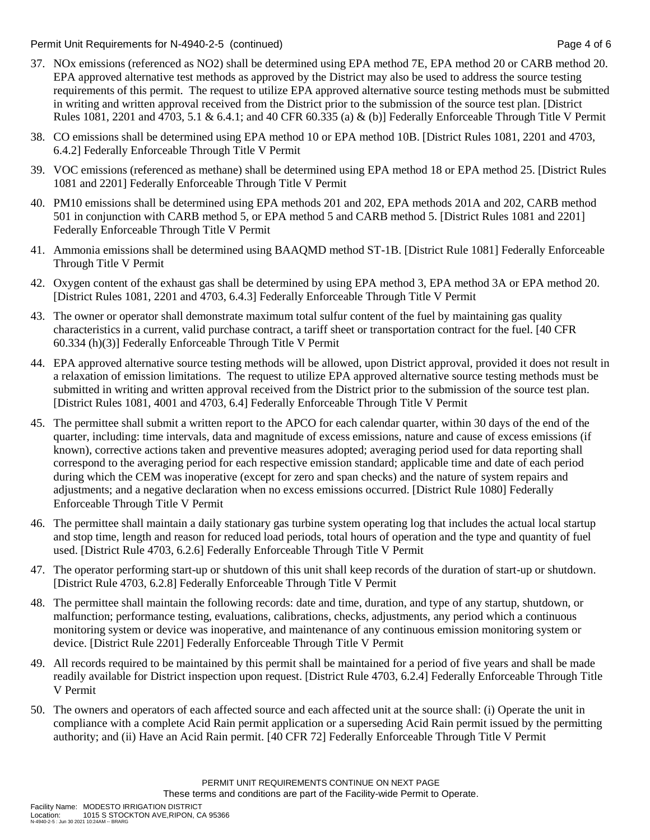Permit Unit Requirements for N-4940-2-5 (continued) **Page 4 of 6** and 2011 **Page 4 of 6** Page 4 of 6

- 37. NOx emissions (referenced as NO2) shall be determined using EPA method 7E, EPA method 20 or CARB method 20. EPA approved alternative test methods as approved by the District may also be used to address the source testing requirements of this permit. The request to utilize EPA approved alternative source testing methods must be submitted in writing and written approval received from the District prior to the submission of the source test plan. [District Rules 1081, 2201 and 4703, 5.1 & 6.4.1; and 40 CFR 60.335 (a) & (b)] Federally Enforceable Through Title V Permit
- 38. CO emissions shall be determined using EPA method 10 or EPA method 10B. [District Rules 1081, 2201 and 4703, 6.4.2] Federally Enforceable Through Title V Permit
- 39. VOC emissions (referenced as methane) shall be determined using EPA method 18 or EPA method 25. [District Rules 1081 and 2201] Federally Enforceable Through Title V Permit
- 40. PM10 emissions shall be determined using EPA methods 201 and 202, EPA methods 201A and 202, CARB method 501 in conjunction with CARB method 5, or EPA method 5 and CARB method 5. [District Rules 1081 and 2201] Federally Enforceable Through Title V Permit
- 41. Ammonia emissions shall be determined using BAAQMD method ST-1B. [District Rule 1081] Federally Enforceable Through Title V Permit
- 42. Oxygen content of the exhaust gas shall be determined by using EPA method 3, EPA method 3A or EPA method 20. [District Rules 1081, 2201 and 4703, 6.4.3] Federally Enforceable Through Title V Permit
- 43. The owner or operator shall demonstrate maximum total sulfur content of the fuel by maintaining gas quality characteristics in a current, valid purchase contract, a tariff sheet or transportation contract for the fuel. [40 CFR 60.334 (h)(3)] Federally Enforceable Through Title V Permit
- 44. EPA approved alternative source testing methods will be allowed, upon District approval, provided it does not result in a relaxation of emission limitations. The request to utilize EPA approved alternative source testing methods must be submitted in writing and written approval received from the District prior to the submission of the source test plan. [District Rules 1081, 4001 and 4703, 6.4] Federally Enforceable Through Title V Permit
- 45. The permittee shall submit a written report to the APCO for each calendar quarter, within 30 days of the end of the quarter, including: time intervals, data and magnitude of excess emissions, nature and cause of excess emissions (if known), corrective actions taken and preventive measures adopted; averaging period used for data reporting shall correspond to the averaging period for each respective emission standard; applicable time and date of each period during which the CEM was inoperative (except for zero and span checks) and the nature of system repairs and adjustments; and a negative declaration when no excess emissions occurred. [District Rule 1080] Federally Enforceable Through Title V Permit
- 46. The permittee shall maintain a daily stationary gas turbine system operating log that includes the actual local startup and stop time, length and reason for reduced load periods, total hours of operation and the type and quantity of fuel used. [District Rule 4703, 6.2.6] Federally Enforceable Through Title V Permit
- 47. The operator performing start-up or shutdown of this unit shall keep records of the duration of start-up or shutdown. [District Rule 4703, 6.2.8] Federally Enforceable Through Title V Permit
- 48. The permittee shall maintain the following records: date and time, duration, and type of any startup, shutdown, or malfunction; performance testing, evaluations, calibrations, checks, adjustments, any period which a continuous monitoring system or device was inoperative, and maintenance of any continuous emission monitoring system or device. [District Rule 2201] Federally Enforceable Through Title V Permit
- 49. All records required to be maintained by this permit shall be maintained for a period of five years and shall be made readily available for District inspection upon request. [District Rule 4703, 6.2.4] Federally Enforceable Through Title V Permit
- 50. The owners and operators of each affected source and each affected unit at the source shall: (i) Operate the unit in compliance with a complete Acid Rain permit application or a superseding Acid Rain permit issued by the permitting authority; and (ii) Have an Acid Rain permit. [40 CFR 72] Federally Enforceable Through Title V Permit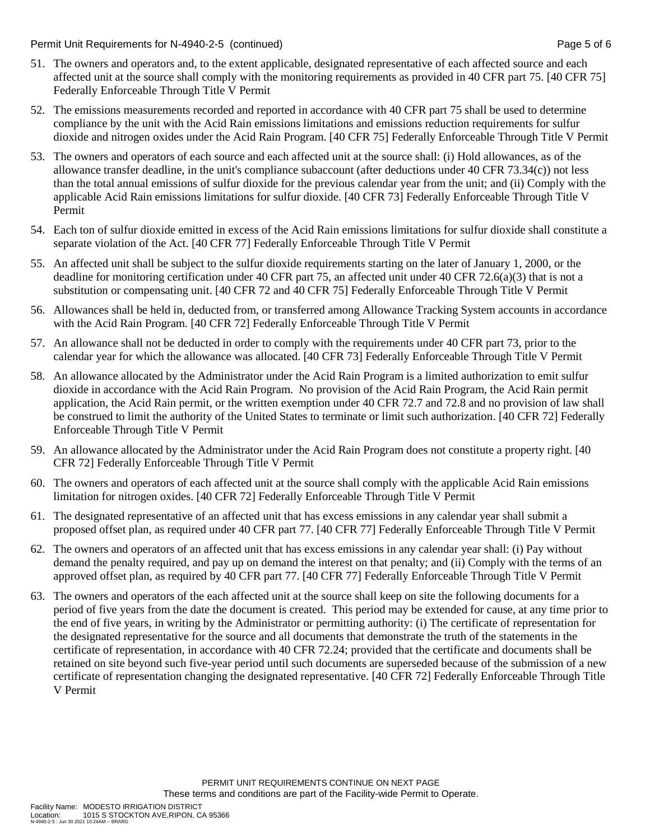Permit Unit Requirements for N-4940-2-5 (continued) **Page 5 of 6** and 2011 **Page 5 of 6** Page 5 of 6

- 51. The owners and operators and, to the extent applicable, designated representative of each affected source and each affected unit at the source shall comply with the monitoring requirements as provided in 40 CFR part 75. [40 CFR 75] Federally Enforceable Through Title V Permit
- 52. The emissions measurements recorded and reported in accordance with 40 CFR part 75 shall be used to determine compliance by the unit with the Acid Rain emissions limitations and emissions reduction requirements for sulfur dioxide and nitrogen oxides under the Acid Rain Program. [40 CFR 75] Federally Enforceable Through Title V Permit
- 53. The owners and operators of each source and each affected unit at the source shall: (i) Hold allowances, as of the allowance transfer deadline, in the unit's compliance subaccount (after deductions under 40 CFR 73.34(c)) not less than the total annual emissions of sulfur dioxide for the previous calendar year from the unit; and (ii) Comply with the applicable Acid Rain emissions limitations for sulfur dioxide. [40 CFR 73] Federally Enforceable Through Title V Permit
- 54. Each ton of sulfur dioxide emitted in excess of the Acid Rain emissions limitations for sulfur dioxide shall constitute a separate violation of the Act. [40 CFR 77] Federally Enforceable Through Title V Permit
- 55. An affected unit shall be subject to the sulfur dioxide requirements starting on the later of January 1, 2000, or the deadline for monitoring certification under 40 CFR part 75, an affected unit under 40 CFR 72.6(a)(3) that is not a substitution or compensating unit. [40 CFR 72 and 40 CFR 75] Federally Enforceable Through Title V Permit
- 56. Allowances shall be held in, deducted from, or transferred among Allowance Tracking System accounts in accordance with the Acid Rain Program. [40 CFR 72] Federally Enforceable Through Title V Permit
- 57. An allowance shall not be deducted in order to comply with the requirements under 40 CFR part 73, prior to the calendar year for which the allowance was allocated. [40 CFR 73] Federally Enforceable Through Title V Permit
- 58. An allowance allocated by the Administrator under the Acid Rain Program is a limited authorization to emit sulfur dioxide in accordance with the Acid Rain Program. No provision of the Acid Rain Program, the Acid Rain permit application, the Acid Rain permit, or the written exemption under 40 CFR 72.7 and 72.8 and no provision of law shall be construed to limit the authority of the United States to terminate or limit such authorization. [40 CFR 72] Federally Enforceable Through Title V Permit
- 59. An allowance allocated by the Administrator under the Acid Rain Program does not constitute a property right. [40 CFR 72] Federally Enforceable Through Title V Permit
- 60. The owners and operators of each affected unit at the source shall comply with the applicable Acid Rain emissions limitation for nitrogen oxides. [40 CFR 72] Federally Enforceable Through Title V Permit
- 61. The designated representative of an affected unit that has excess emissions in any calendar year shall submit a proposed offset plan, as required under 40 CFR part 77. [40 CFR 77] Federally Enforceable Through Title V Permit
- 62. The owners and operators of an affected unit that has excess emissions in any calendar year shall: (i) Pay without demand the penalty required, and pay up on demand the interest on that penalty; and (ii) Comply with the terms of an approved offset plan, as required by 40 CFR part 77. [40 CFR 77] Federally Enforceable Through Title V Permit
- 63. The owners and operators of the each affected unit at the source shall keep on site the following documents for a period of five years from the date the document is created. This period may be extended for cause, at any time prior to the end of five years, in writing by the Administrator or permitting authority: (i) The certificate of representation for the designated representative for the source and all documents that demonstrate the truth of the statements in the certificate of representation, in accordance with 40 CFR 72.24; provided that the certificate and documents shall be retained on site beyond such five-year period until such documents are superseded because of the submission of a new certificate of representation changing the designated representative. [40 CFR 72] Federally Enforceable Through Title V Permit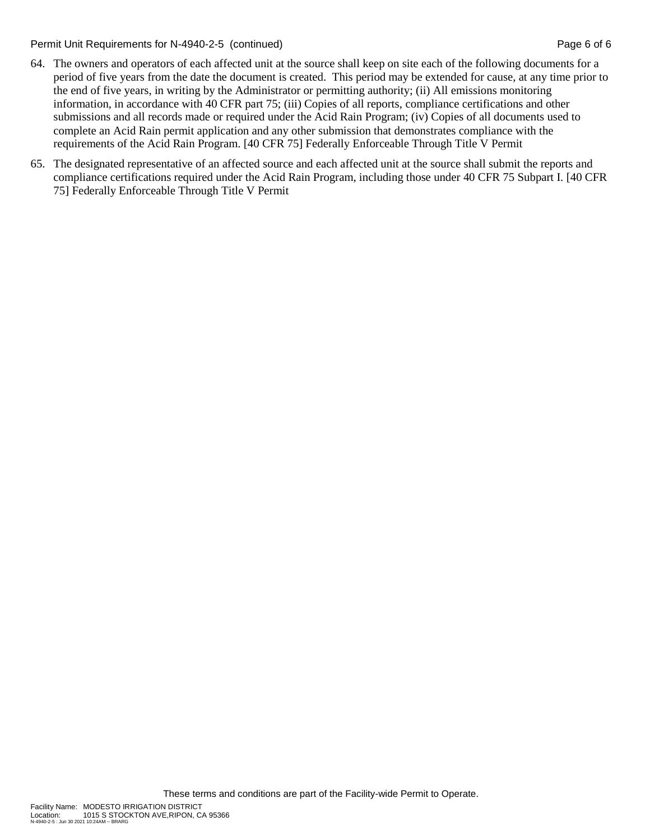Permit Unit Requirements for N-4940-2-5 (continued) Page 6 of 6 continued Page 6 of 6

- 64. The owners and operators of each affected unit at the source shall keep on site each of the following documents for a period of five years from the date the document is created. This period may be extended for cause, at any time prior to the end of five years, in writing by the Administrator or permitting authority; (ii) All emissions monitoring information, in accordance with 40 CFR part 75; (iii) Copies of all reports, compliance certifications and other submissions and all records made or required under the Acid Rain Program; (iv) Copies of all documents used to complete an Acid Rain permit application and any other submission that demonstrates compliance with the requirements of the Acid Rain Program. [40 CFR 75] Federally Enforceable Through Title V Permit
- 65. The designated representative of an affected source and each affected unit at the source shall submit the reports and compliance certifications required under the Acid Rain Program, including those under 40 CFR 75 Subpart I. [40 CFR 75] Federally Enforceable Through Title V Permit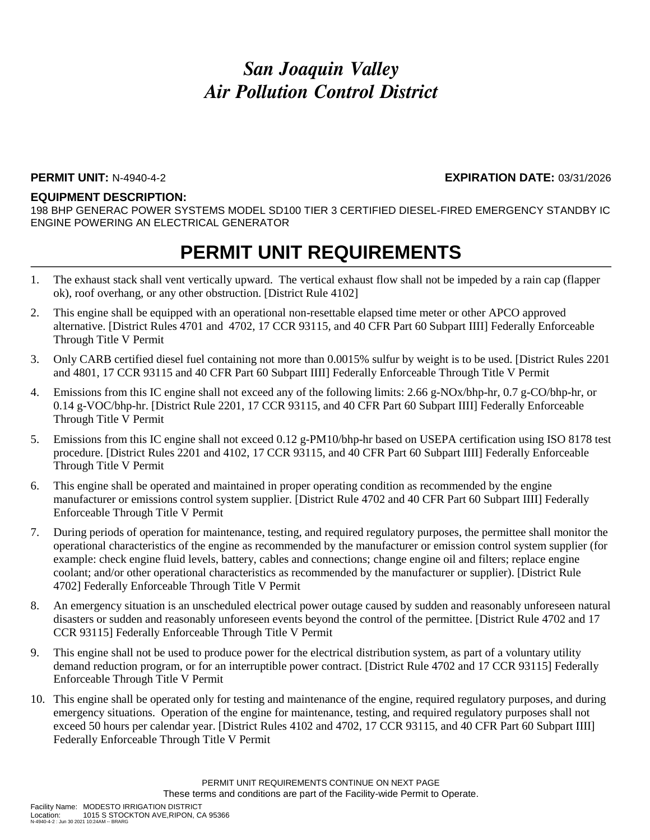### **PERMIT UNIT:** N-4940-4-2 **EXPIRATION DATE:** 03/31/2026

### **EQUIPMENT DESCRIPTION:**

198 BHP GENERAC POWER SYSTEMS MODEL SD100 TIER 3 CERTIFIED DIESEL-FIRED EMERGENCY STANDBY IC ENGINE POWERING AN ELECTRICAL GENERATOR

## **PERMIT UNIT REQUIREMENTS**

- 1. The exhaust stack shall vent vertically upward. The vertical exhaust flow shall not be impeded by a rain cap (flapper ok), roof overhang, or any other obstruction. [District Rule 4102]
- 2. This engine shall be equipped with an operational non-resettable elapsed time meter or other APCO approved alternative. [District Rules 4701 and 4702, 17 CCR 93115, and 40 CFR Part 60 Subpart IIII] Federally Enforceable Through Title V Permit
- 3. Only CARB certified diesel fuel containing not more than 0.0015% sulfur by weight is to be used. [District Rules 2201 and 4801, 17 CCR 93115 and 40 CFR Part 60 Subpart IIII] Federally Enforceable Through Title V Permit
- 4. Emissions from this IC engine shall not exceed any of the following limits: 2.66 g-NOx/bhp-hr, 0.7 g-CO/bhp-hr, or 0.14 g-VOC/bhp-hr. [District Rule 2201, 17 CCR 93115, and 40 CFR Part 60 Subpart IIII] Federally Enforceable Through Title V Permit
- 5. Emissions from this IC engine shall not exceed 0.12 g-PM10/bhp-hr based on USEPA certification using ISO 8178 test procedure. [District Rules 2201 and 4102, 17 CCR 93115, and 40 CFR Part 60 Subpart IIII] Federally Enforceable Through Title V Permit
- 6. This engine shall be operated and maintained in proper operating condition as recommended by the engine manufacturer or emissions control system supplier. [District Rule 4702 and 40 CFR Part 60 Subpart IIII] Federally Enforceable Through Title V Permit
- 7. During periods of operation for maintenance, testing, and required regulatory purposes, the permittee shall monitor the operational characteristics of the engine as recommended by the manufacturer or emission control system supplier (for example: check engine fluid levels, battery, cables and connections; change engine oil and filters; replace engine coolant; and/or other operational characteristics as recommended by the manufacturer or supplier). [District Rule 4702] Federally Enforceable Through Title V Permit
- 8. An emergency situation is an unscheduled electrical power outage caused by sudden and reasonably unforeseen natural disasters or sudden and reasonably unforeseen events beyond the control of the permittee. [District Rule 4702 and 17 CCR 93115] Federally Enforceable Through Title V Permit
- 9. This engine shall not be used to produce power for the electrical distribution system, as part of a voluntary utility demand reduction program, or for an interruptible power contract. [District Rule 4702 and 17 CCR 93115] Federally Enforceable Through Title V Permit
- 10. This engine shall be operated only for testing and maintenance of the engine, required regulatory purposes, and during emergency situations. Operation of the engine for maintenance, testing, and required regulatory purposes shall not exceed 50 hours per calendar year. [District Rules 4102 and 4702, 17 CCR 93115, and 40 CFR Part 60 Subpart IIII] Federally Enforceable Through Title V Permit